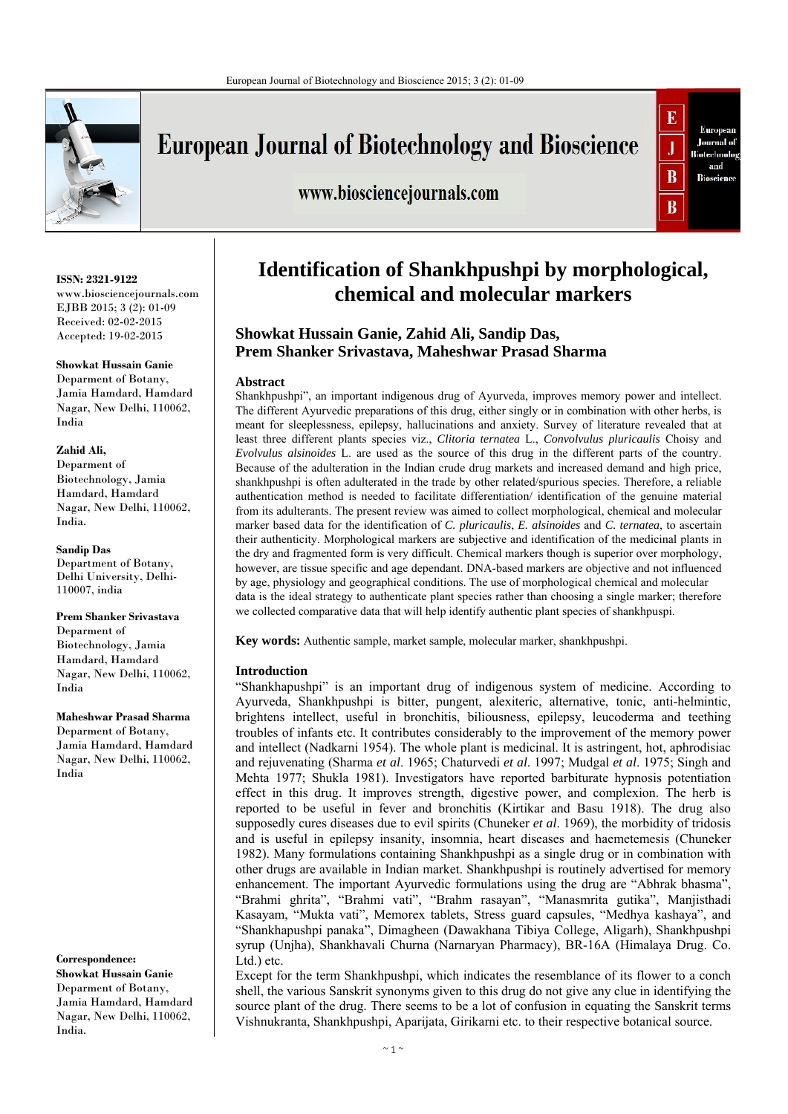

# **European Journal of Biotechnology and Bioscience**

www.biosciencejournals.com



#### **ISSN: 2321-9122**

www.biosciencejournals.com EJBB 2015; 3 (2): 01-09 Received: 02-02-2015 Accepted: 19-02-2015

#### **Showkat Hussain Ganie**

Deparment of Botany, Jamia Hamdard, Hamdard Nagar, New Delhi, 110062, India

#### **Zahid Ali,**

Deparment of Biotechnology, Jamia Hamdard, Hamdard Nagar, New Delhi, 110062, India.

**Sandip Das**  Department of Botany, Delhi University, Delhi-110007, india

**Prem Shanker Srivastava** Deparment of Biotechnology, Jamia Hamdard, Hamdard Nagar, New Delhi, 110062, India

**Maheshwar Prasad Sharma** Deparment of Botany, Jamia Hamdard, Hamdard Nagar, New Delhi, 110062, India

**Correspondence: Showkat Hussain Ganie**  Deparment of Botany, Jamia Hamdard, Hamdard Nagar, New Delhi, 110062, India.

# **Identification of Shankhpushpi by morphological, chemical and molecular markers**

# **Showkat Hussain Ganie, Zahid Ali, Sandip Das, Prem Shanker Srivastava, Maheshwar Prasad Sharma**

#### **Abstract**

Shankhpushpi", an important indigenous drug of Ayurveda, improves memory power and intellect. The different Ayurvedic preparations of this drug, either singly or in combination with other herbs, is meant for sleeplessness, epilepsy, hallucinations and anxiety. Survey of literature revealed that at least three different plants species viz., *Clitoria ternatea* L., *Convolvulus pluricaulis* Choisy and *Evolvulus alsinoides* L. are used as the source of this drug in the different parts of the country. Because of the adulteration in the Indian crude drug markets and increased demand and high price, shankhpushpi is often adulterated in the trade by other related/spurious species. Therefore, a reliable authentication method is needed to facilitate differentiation/ identification of the genuine material from its adulterants. The present review was aimed to collect morphological, chemical and molecular marker based data for the identification of *C. pluricaulis*, *E. alsinoides* and *C. ternatea*, to ascertain their authenticity. Morphological markers are subjective and identification of the medicinal plants in the dry and fragmented form is very difficult. Chemical markers though is superior over morphology, however, are tissue specific and age dependant. DNA-based markers are objective and not influenced by age, physiology and geographical conditions. The use of morphological chemical and molecular data is the ideal strategy to authenticate plant species rather than choosing a single marker; therefore we collected comparative data that will help identify authentic plant species of shankhpuspi.

**Key words:** Authentic sample, market sample, molecular marker, shankhpushpi.

### **Introduction**

"Shankhapushpi" is an important drug of indigenous system of medicine. According to Ayurveda, Shankhpushpi is bitter, pungent, alexiteric, alternative, tonic, anti-helmintic, brightens intellect, useful in bronchitis, biliousness, epilepsy, leucoderma and teething troubles of infants etc. It contributes considerably to the improvement of the memory power and intellect (Nadkarni 1954). The whole plant is medicinal. It is astringent, hot, aphrodisiac and rejuvenating (Sharma *et al*. 1965; Chaturvedi *et al*. 1997; Mudgal *et al*. 1975; Singh and Mehta 1977; Shukla 1981). Investigators have reported barbiturate hypnosis potentiation effect in this drug. It improves strength, digestive power, and complexion. The herb is reported to be useful in fever and bronchitis (Kirtikar and Basu 1918). The drug also supposedly cures diseases due to evil spirits (Chuneker *et al*. 1969), the morbidity of tridosis and is useful in epilepsy insanity, insomnia, heart diseases and haemetemesis (Chuneker 1982). Many formulations containing Shankhpushpi as a single drug or in combination with other drugs are available in Indian market. Shankhpushpi is routinely advertised for memory enhancement. The important Ayurvedic formulations using the drug are "Abhrak bhasma", "Brahmi ghrita", "Brahmi vati", "Brahm rasayan", "Manasmrita gutika", Manjisthadi Kasayam, "Mukta vati", Memorex tablets, Stress guard capsules, "Medhya kashaya", and "Shankhapushpi panaka", Dimagheen (Dawakhana Tibiya College, Aligarh), Shankhpushpi syrup (Unjha), Shankhavali Churna (Narnaryan Pharmacy), BR-16A (Himalaya Drug. Co. Ltd.) etc.

Except for the term Shankhpushpi, which indicates the resemblance of its flower to a conch shell, the various Sanskrit synonyms given to this drug do not give any clue in identifying the source plant of the drug. There seems to be a lot of confusion in equating the Sanskrit terms Vishnukranta, Shankhpushpi, Aparijata, Girikarni etc. to their respective botanical source.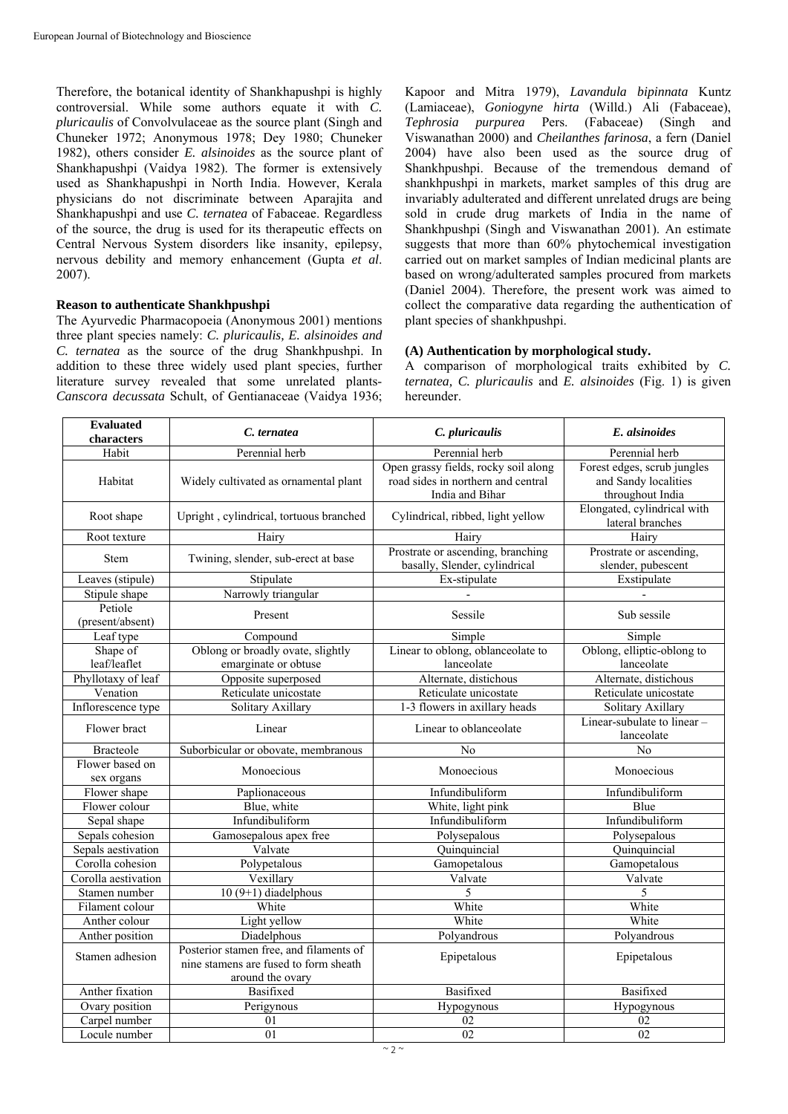Therefore, the botanical identity of Shankhapushpi is highly controversial. While some authors equate it with *C. pluricaulis* of Convolvulaceae as the source plant (Singh and Chuneker 1972; Anonymous 1978; Dey 1980; Chuneker 1982), others consider *E. alsinoides* as the source plant of Shankhapushpi (Vaidya 1982). The former is extensively used as Shankhapushpi in North India. However, Kerala physicians do not discriminate between Aparajita and Shankhapushpi and use *C. ternatea* of Fabaceae. Regardless of the source, the drug is used for its therapeutic effects on Central Nervous System disorders like insanity, epilepsy, nervous debility and memory enhancement (Gupta *et al*. 2007).

#### **Reason to authenticate Shankhpushpi**

The Ayurvedic Pharmacopoeia (Anonymous 2001) mentions three plant species namely: *C. pluricaulis, E. alsinoides and C. ternatea* as the source of the drug Shankhpushpi. In addition to these three widely used plant species, further literature survey revealed that some unrelated plants-*Canscora decussata* Schult, of Gentianaceae (Vaidya 1936; Kapoor and Mitra 1979), *Lavandula bipinnata* Kuntz (Lamiaceae), *Goniogyne hirta* (Willd.) Ali (Fabaceae), *Tephrosia purpurea* Pers. (Fabaceae) (Singh and Viswanathan 2000) and *Cheilanthes farinosa*, a fern (Daniel 2004) have also been used as the source drug of Shankhpushpi. Because of the tremendous demand of shankhpushpi in markets, market samples of this drug are invariably adulterated and different unrelated drugs are being sold in crude drug markets of India in the name of Shankhpushpi (Singh and Viswanathan 2001). An estimate suggests that more than 60% phytochemical investigation carried out on market samples of Indian medicinal plants are based on wrong/adulterated samples procured from markets (Daniel 2004). Therefore, the present work was aimed to collect the comparative data regarding the authentication of plant species of shankhpushpi.

#### **(A) Authentication by morphological study.**

A comparison of morphological traits exhibited by *C. ternatea, C. pluricaulis* and *E. alsinoides* (Fig. 1) is given hereunder.

| <b>Evaluated</b><br>characters | C. ternatea<br>C. pluricaulis                                                                        |                                                                                               | E. alsinoides                                                           |  |
|--------------------------------|------------------------------------------------------------------------------------------------------|-----------------------------------------------------------------------------------------------|-------------------------------------------------------------------------|--|
| Habit                          | Perennial herb                                                                                       | Perennial herb                                                                                | Perennial herb                                                          |  |
| Habitat                        | Widely cultivated as ornamental plant                                                                | Open grassy fields, rocky soil along<br>road sides in northern and central<br>India and Bihar | Forest edges, scrub jungles<br>and Sandy localities<br>throughout India |  |
| Root shape                     | Upright, cylindrical, tortuous branched                                                              | Cylindrical, ribbed, light yellow                                                             | Elongated, cylindrical with<br>lateral branches                         |  |
| Root texture                   | Hairy                                                                                                | Hairy                                                                                         | Hairv                                                                   |  |
| Stem                           | Twining, slender, sub-erect at base                                                                  | Prostrate or ascending, branching<br>basally, Slender, cylindrical                            | Prostrate or ascending,<br>slender, pubescent                           |  |
| Leaves (stipule)               | Stipulate                                                                                            | Ex-stipulate                                                                                  | Exstipulate                                                             |  |
| Stipule shape                  | Narrowly triangular                                                                                  |                                                                                               |                                                                         |  |
| Petiole<br>(present/absent)    | Present                                                                                              | Sessile                                                                                       | Sub sessile                                                             |  |
| Leaf type                      | Compound                                                                                             | Simple                                                                                        | Simple                                                                  |  |
| Shape of<br>leaf/leaflet       | Oblong or broadly ovate, slightly<br>emarginate or obtuse                                            | Linear to oblong, oblanceolate to<br>lanceolate                                               | Oblong, elliptic-oblong to<br>lanceolate                                |  |
| Phyllotaxy of leaf             | Opposite superposed                                                                                  | Alternate, distichous                                                                         | Alternate, distichous                                                   |  |
| Venation                       | Reticulate unicostate                                                                                | Reticulate unicostate                                                                         | Reticulate unicostate                                                   |  |
| Inflorescence type             | Solitary Axillary                                                                                    | 1-3 flowers in axillary heads                                                                 | Solitary Axillary                                                       |  |
| Flower bract                   | Linear                                                                                               | Linear to oblanceolate                                                                        | Linear-subulate to linear -<br>lanceolate                               |  |
| <b>Bracteole</b>               | Suborbicular or obovate, membranous                                                                  | N <sub>o</sub>                                                                                | No                                                                      |  |
| Flower based on<br>sex organs  | Monoecious                                                                                           | Monoecious                                                                                    | Monoecious                                                              |  |
| Flower shape                   | Paplionaceous                                                                                        | Infundibuliform                                                                               | Infundibuliform                                                         |  |
| Flower colour                  | Blue, white                                                                                          | White, light pink                                                                             | Blue                                                                    |  |
| Sepal shape                    | Infundibuliform                                                                                      | Infundibuliform                                                                               | Infundibuliform                                                         |  |
| Sepals cohesion                | Gamosepalous apex free                                                                               | Polysepalous                                                                                  | Polysepalous<br>Quinquincial                                            |  |
| Sepals aestivation             |                                                                                                      | Valvate<br>Quinquincial                                                                       |                                                                         |  |
| Corolla cohesion               | Polypetalous                                                                                         | Gamopetalous                                                                                  | Gamopetalous                                                            |  |
| Corolla aestivation            | Vexillary                                                                                            | Valvate                                                                                       | Valvate                                                                 |  |
| Stamen number                  | $10(9+1)$ diadelphous                                                                                | 5                                                                                             | 5                                                                       |  |
| Filament colour                | White                                                                                                | White                                                                                         | White                                                                   |  |
| Anther colour                  | Light yellow                                                                                         | White                                                                                         | White                                                                   |  |
| Anther position                | Diadelphous                                                                                          | Polyandrous                                                                                   | Polyandrous                                                             |  |
| Stamen adhesion                | Posterior stamen free, and filaments of<br>nine stamens are fused to form sheath<br>around the ovary | Epipetalous                                                                                   | Epipetalous                                                             |  |
| Anther fixation                | Basifixed                                                                                            | Basifixed                                                                                     | Basifixed                                                               |  |
| Ovary position                 | Perigynous                                                                                           | Hypogynous<br>Hypogynous                                                                      |                                                                         |  |
| Carpel number                  | 01                                                                                                   | 02<br>02                                                                                      |                                                                         |  |
| Locule number                  | 01                                                                                                   | 02                                                                                            | 02                                                                      |  |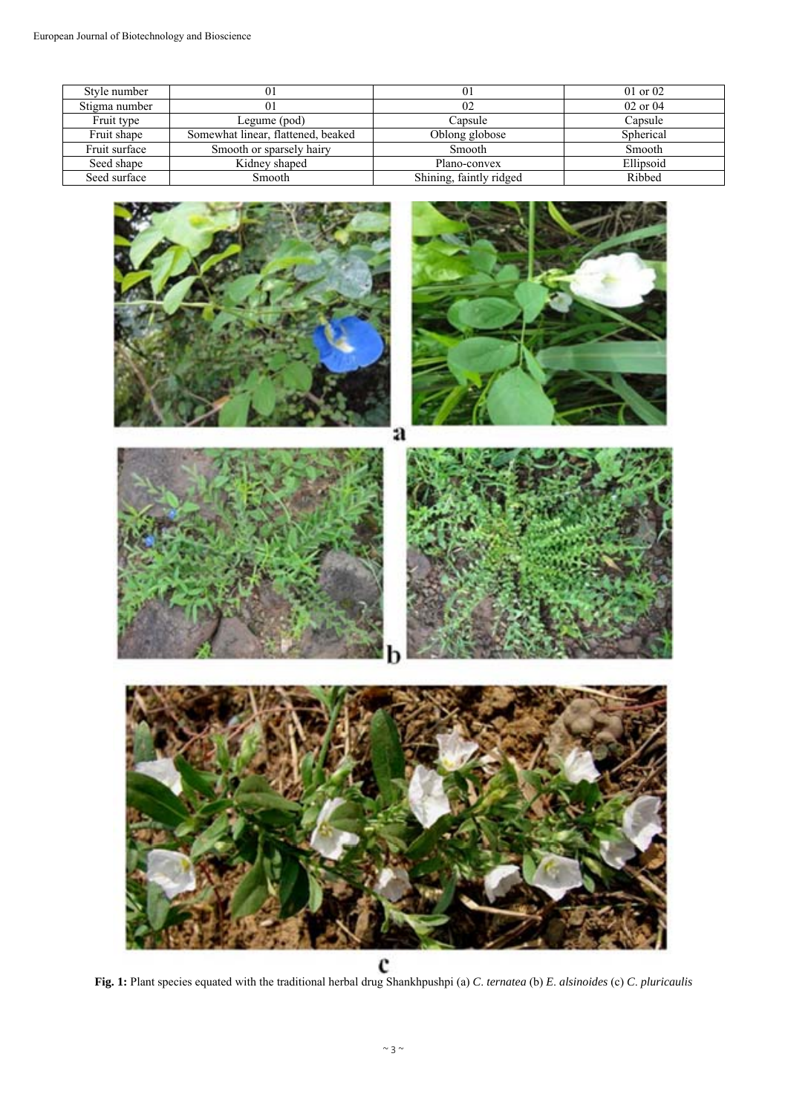| Style number  |                                    | 01                      | $01$ or $02$ |
|---------------|------------------------------------|-------------------------|--------------|
|               |                                    |                         |              |
| Stigma number |                                    | 02                      | $02$ or $04$ |
| Fruit type    | Legume (pod)                       | Capsule                 | Capsule      |
| Fruit shape   | Somewhat linear, flattened, beaked | Oblong globose          | Spherical    |
| Fruit surface | Smooth or sparsely hairy           | Smooth                  | Smooth       |
| Seed shape    | Kidney shaped                      | Plano-convex            | Ellipsoid    |
| Seed surface  | Smooth                             | Shining, faintly ridged | Ribbed       |

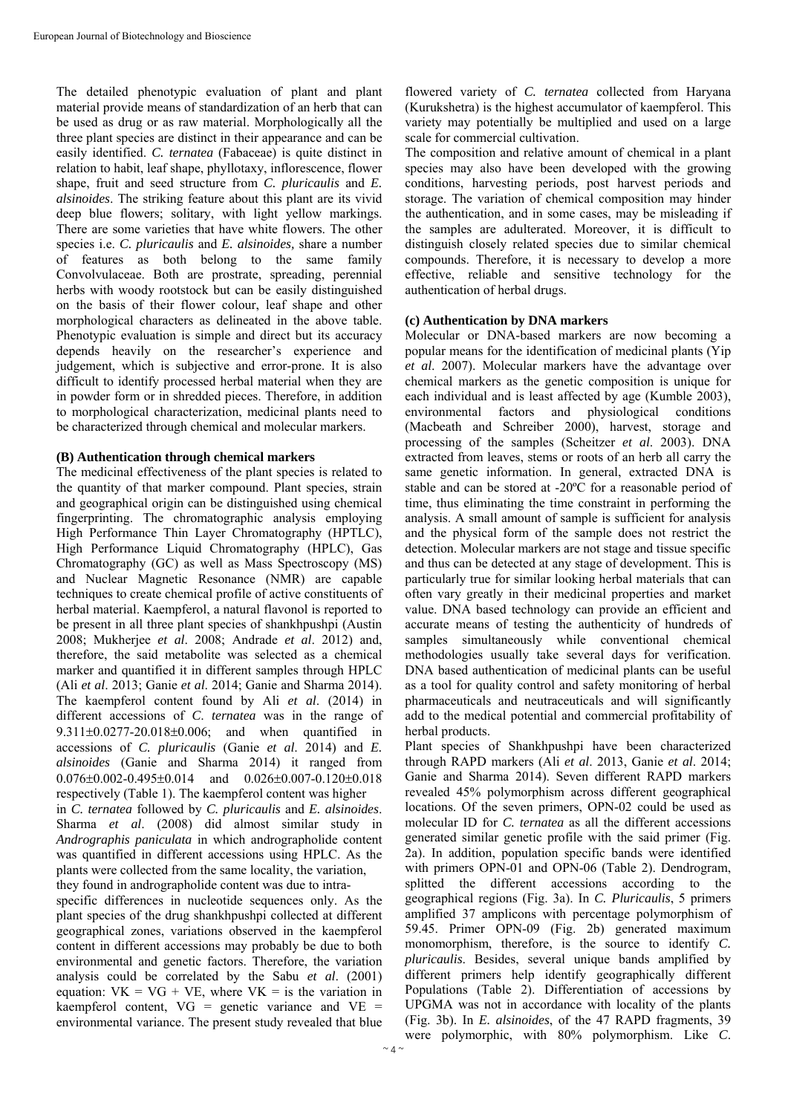The detailed phenotypic evaluation of plant and plant material provide means of standardization of an herb that can be used as drug or as raw material. Morphologically all the three plant species are distinct in their appearance and can be easily identified. *C. ternatea* (Fabaceae) is quite distinct in relation to habit, leaf shape, phyllotaxy, inflorescence, flower shape, fruit and seed structure from *C. pluricaulis* and *E. alsinoides*. The striking feature about this plant are its vivid deep blue flowers; solitary, with light yellow markings. There are some varieties that have white flowers. The other species i.e. *C. pluricaulis* and *E. alsinoides,* share a number of features as both belong to the same family Convolvulaceae. Both are prostrate, spreading, perennial herbs with woody rootstock but can be easily distinguished on the basis of their flower colour, leaf shape and other morphological characters as delineated in the above table. Phenotypic evaluation is simple and direct but its accuracy depends heavily on the researcher's experience and judgement, which is subjective and error-prone. It is also difficult to identify processed herbal material when they are in powder form or in shredded pieces. Therefore, in addition to morphological characterization, medicinal plants need to be characterized through chemical and molecular markers.

#### **(B) Authentication through chemical markers**

The medicinal effectiveness of the plant species is related to the quantity of that marker compound. Plant species, strain and geographical origin can be distinguished using chemical fingerprinting. The chromatographic analysis employing High Performance Thin Layer Chromatography (HPTLC), High Performance Liquid Chromatography (HPLC), Gas Chromatography (GC) as well as Mass Spectroscopy (MS) and Nuclear Magnetic Resonance (NMR) are capable techniques to create chemical profile of active constituents of herbal material. Kaempferol, a natural flavonol is reported to be present in all three plant species of shankhpushpi (Austin 2008; Mukherjee *et al*. 2008; Andrade *et al*. 2012) and, therefore, the said metabolite was selected as a chemical marker and quantified it in different samples through HPLC (Ali *et al*. 2013; Ganie *et al*. 2014; Ganie and Sharma 2014). The kaempferol content found by Ali *et al*. (2014) in different accessions of *C*. *ternatea* was in the range of  $9.311 \pm 0.0277 - 20.018 \pm 0.006$ ; and when quantified in accessions of *C. pluricaulis* (Ganie *et al*. 2014) and *E. alsinoides* (Ganie and Sharma 2014) it ranged from  $0.076\pm0.002-0.495\pm0.014$  and  $0.026\pm0.007-0.120\pm0.018$ respectively (Table 1). The kaempferol content was higher in *C. ternatea* followed by *C. pluricaulis* and *E. alsinoides*. Sharma *et al*. (2008) did almost similar study in *Andrographis paniculata* in which andrographolide content was quantified in different accessions using HPLC. As the plants were collected from the same locality, the variation, they found in andrographolide content was due to intra-

specific differences in nucleotide sequences only. As the plant species of the drug shankhpushpi collected at different geographical zones, variations observed in the kaempferol content in different accessions may probably be due to both environmental and genetic factors. Therefore, the variation analysis could be correlated by the Sabu *et al*. (2001) equation:  $VK = VG + VE$ , where  $VK =$  is the variation in kaempferol content,  $VG =$  genetic variance and  $VE =$ environmental variance. The present study revealed that blue

flowered variety of *C. ternatea* collected from Haryana (Kurukshetra) is the highest accumulator of kaempferol. This variety may potentially be multiplied and used on a large scale for commercial cultivation.

The composition and relative amount of chemical in a plant species may also have been developed with the growing conditions, harvesting periods, post harvest periods and storage. The variation of chemical composition may hinder the authentication, and in some cases, may be misleading if the samples are adulterated. Moreover, it is difficult to distinguish closely related species due to similar chemical compounds. Therefore, it is necessary to develop a more effective, reliable and sensitive technology for the authentication of herbal drugs.

## **(c) Authentication by DNA markers**

Molecular or DNA-based markers are now becoming a popular means for the identification of medicinal plants (Yip *et al*. 2007). Molecular markers have the advantage over chemical markers as the genetic composition is unique for each individual and is least affected by age (Kumble 2003), environmental factors and physiological conditions (Macbeath and Schreiber 2000), harvest, storage and processing of the samples (Scheitzer *et al*. 2003). DNA extracted from leaves, stems or roots of an herb all carry the same genetic information. In general, extracted DNA is stable and can be stored at -20ºC for a reasonable period of time, thus eliminating the time constraint in performing the analysis. A small amount of sample is sufficient for analysis and the physical form of the sample does not restrict the detection. Molecular markers are not stage and tissue specific and thus can be detected at any stage of development. This is particularly true for similar looking herbal materials that can often vary greatly in their medicinal properties and market value. DNA based technology can provide an efficient and accurate means of testing the authenticity of hundreds of samples simultaneously while conventional chemical methodologies usually take several days for verification. DNA based authentication of medicinal plants can be useful as a tool for quality control and safety monitoring of herbal pharmaceuticals and neutraceuticals and will significantly add to the medical potential and commercial profitability of herbal products.

Plant species of Shankhpushpi have been characterized through RAPD markers (Ali *et al*. 2013, Ganie *et al*. 2014; Ganie and Sharma 2014). Seven different RAPD markers revealed 45% polymorphism across different geographical locations. Of the seven primers, OPN-02 could be used as molecular ID for *C. ternatea* as all the different accessions generated similar genetic profile with the said primer (Fig. 2a). In addition, population specific bands were identified with primers OPN-01 and OPN-06 (Table 2). Dendrogram, splitted the different accessions according to the geographical regions (Fig. 3a). In *C. Pluricaulis*, 5 primers amplified 37 amplicons with percentage polymorphism of 59.45. Primer OPN-09 (Fig. 2b) generated maximum monomorphism, therefore, is the source to identify *C. pluricaulis*. Besides, several unique bands amplified by different primers help identify geographically different Populations (Table 2). Differentiation of accessions by UPGMA was not in accordance with locality of the plants (Fig. 3b). In *E. alsinoides*, of the 47 RAPD fragments, 39 were polymorphic, with 80% polymorphism. Like *C*.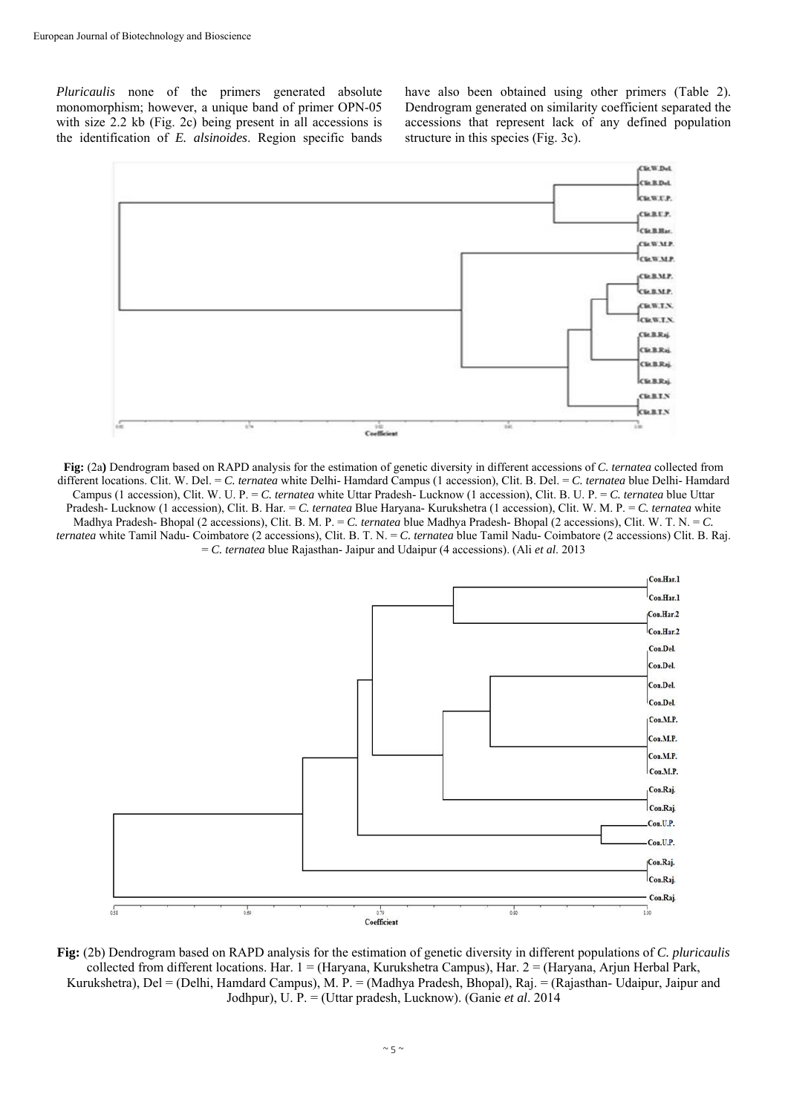*Pluricaulis* none of the primers generated absolute monomorphism; however, a unique band of primer OPN-05 with size 2.2 kb (Fig. 2c) being present in all accessions is the identification of *E. alsinoides*. Region specific bands have also been obtained using other primers (Table 2). Dendrogram generated on similarity coefficient separated the accessions that represent lack of any defined population structure in this species (Fig. 3c).



**Fig:** (2a**)** Dendrogram based on RAPD analysis for the estimation of genetic diversity in different accessions of *C. ternatea* collected from different locations. Clit. W. Del. = *C. ternatea* white Delhi- Hamdard Campus (1 accession), Clit. B. Del. = *C. ternatea* blue Delhi- Hamdard Campus (1 accession), Clit. W. U. P. = *C. ternatea* white Uttar Pradesh- Lucknow (1 accession), Clit. B. U. P. = *C. ternatea* blue Uttar Pradesh- Lucknow (1 accession), Clit. B. Har. = *C. ternatea* Blue Haryana- Kurukshetra (1 accession), Clit. W. M. P. = *C. ternatea* white Madhya Pradesh- Bhopal (2 accessions), Clit. B. M. P. = *C. ternatea* blue Madhya Pradesh- Bhopal (2 accessions), Clit. W. T. N. = *C. ternatea* white Tamil Nadu- Coimbatore (2 accessions), Clit. B. T. N. = *C. ternatea* blue Tamil Nadu- Coimbatore (2 accessions) Clit. B. Raj. = *C. ternatea* blue Rajasthan- Jaipur and Udaipur (4 accessions). (Ali *et al*. 2013



**Fig:** (2b) Dendrogram based on RAPD analysis for the estimation of genetic diversity in different populations of *C. pluricaulis*  collected from different locations. Har. 1 = (Haryana, Kurukshetra Campus), Har. 2 = (Haryana, Arjun Herbal Park, Kurukshetra), Del = (Delhi, Hamdard Campus), M. P. = (Madhya Pradesh, Bhopal), Raj. = (Rajasthan- Udaipur, Jaipur and Jodhpur), U. P. = (Uttar pradesh, Lucknow). (Ganie *et al*. 2014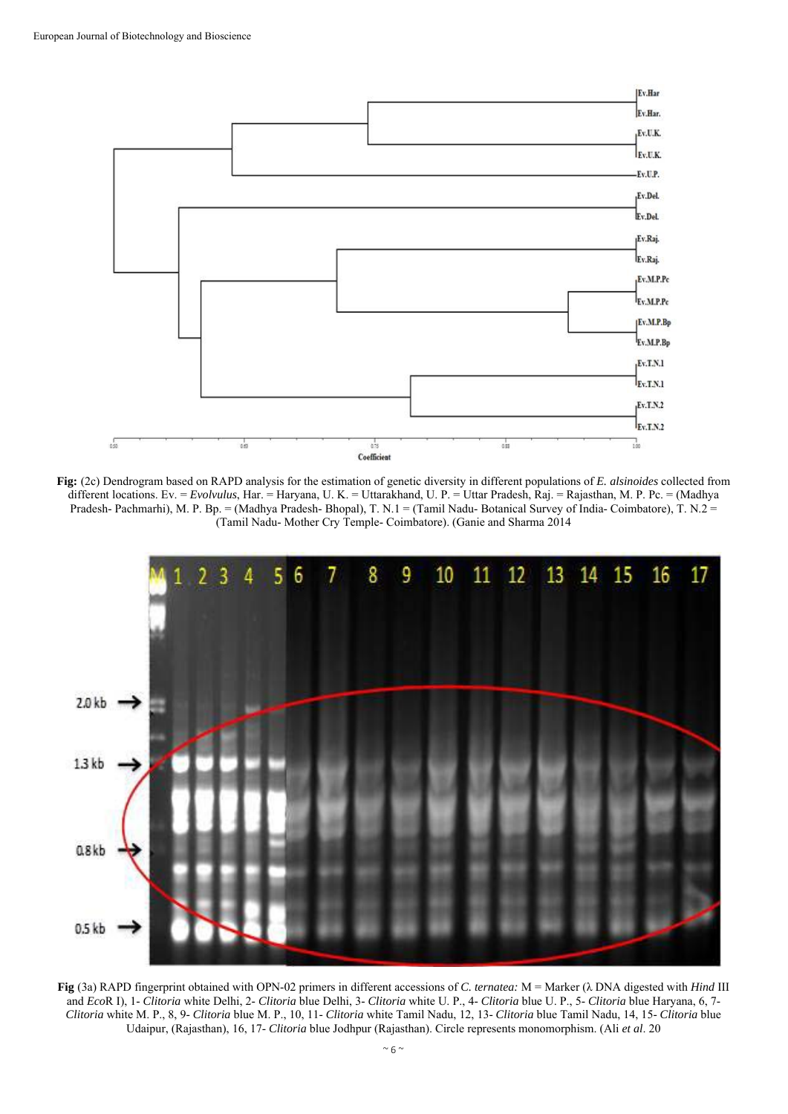

**Fig:** (2c) Dendrogram based on RAPD analysis for the estimation of genetic diversity in different populations of *E. alsinoides* collected from different locations. Ev. = *Evolvulus*, Har. = Haryana, U. K. = Uttarakhand, U. P. = Uttar Pradesh, Raj. = Rajasthan, M. P. Pc. = (Madhya Pradesh- Pachmarhi), M. P. Bp. = (Madhya Pradesh- Bhopal), T. N.1 = (Tamil Nadu- Botanical Survey of India- Coimbatore), T. N.2 = (Tamil Nadu- Mother Cry Temple- Coimbatore). (Ganie and Sharma 2014

![](_page_5_Figure_3.jpeg)

**Fig** (3a) RAPD fingerprint obtained with OPN-02 primers in different accessions of *C. ternatea:* M = Marker (λ DNA digested with *Hind* III and *Eco*R I), 1- *Clitoria* white Delhi, 2- *Clitoria* blue Delhi, 3- *Clitoria* white U. P., 4- *Clitoria* blue U. P., 5- *Clitoria* blue Haryana, 6, 7- *Clitoria* white M. P., 8, 9- *Clitoria* blue M. P., 10, 11- *Clitoria* white Tamil Nadu, 12, 13- *Clitoria* blue Tamil Nadu, 14, 15- *Clitoria* blue Udaipur, (Rajasthan), 16, 17- *Clitoria* blue Jodhpur (Rajasthan). Circle represents monomorphism. (Ali *et al*. 20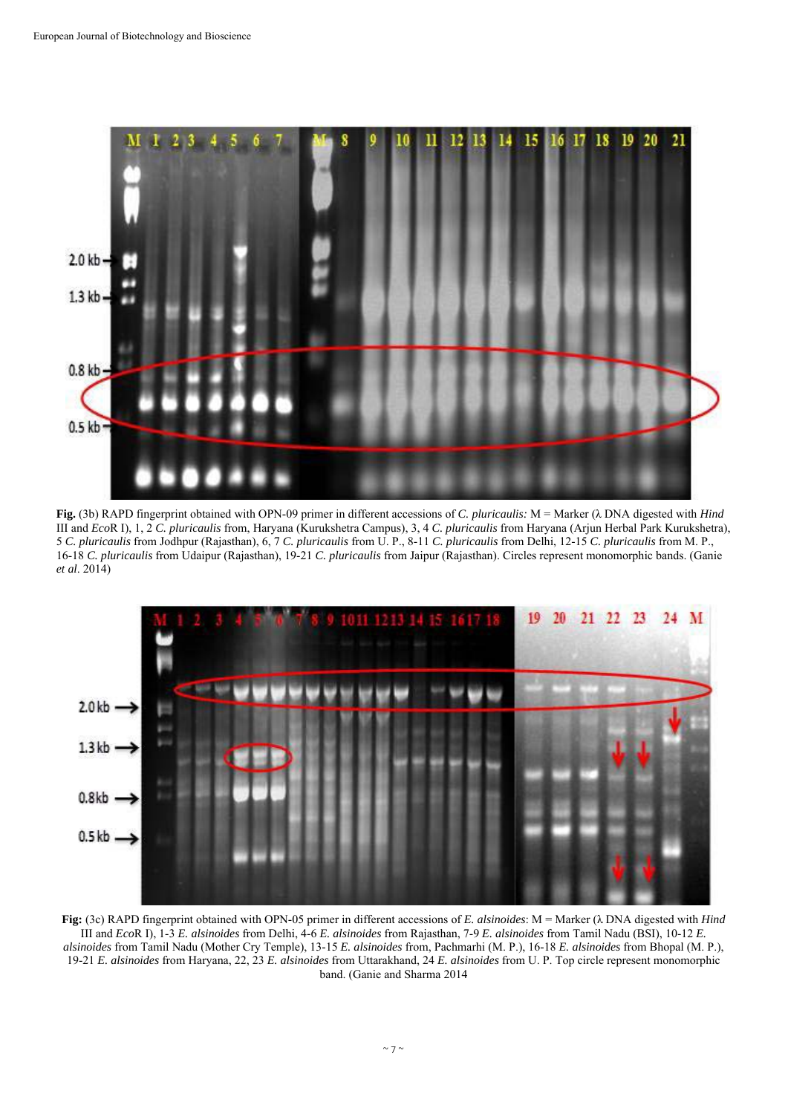![](_page_6_Figure_1.jpeg)

**Fig.** (3b) RAPD fingerprint obtained with OPN-09 primer in different accessions of *C. pluricaulis:* M = Marker (λ DNA digested with *Hind*  III and *Eco*R I), 1, 2 *C. pluricaulis* from, Haryana (Kurukshetra Campus), 3, 4 *C. pluricaulis* from Haryana (Arjun Herbal Park Kurukshetra), 5 *C. pluricaulis* from Jodhpur (Rajasthan), 6, 7 *C. pluricaulis* from U. P., 8-11 *C. pluricaulis* from Delhi, 12-15 *C. pluricaulis* from M. P., 16-18 *C. pluricaulis* from Udaipur (Rajasthan), 19-21 *C. pluricaulis* from Jaipur (Rajasthan). Circles represent monomorphic bands. (Ganie *et al*. 2014)

![](_page_6_Figure_3.jpeg)

**Fig:** (3c) RAPD fingerprint obtained with OPN-05 primer in different accessions of *E. alsinoides*: M = Marker (λ DNA digested with *Hind*  III and *Eco*R I), 1-3 *E. alsinoides* from Delhi, 4-6 *E. alsinoides* from Rajasthan, 7-9 *E. alsinoides* from Tamil Nadu (BSI), 10-12 *E. alsinoides* from Tamil Nadu (Mother Cry Temple), 13-15 *E. alsinoides* from, Pachmarhi (M. P.), 16-18 *E. alsinoides* from Bhopal (M. P.), 19-21 *E. alsinoides* from Haryana, 22, 23 *E. alsinoides* from Uttarakhand, 24 *E. alsinoides* from U. P. Top circle represent monomorphic band. (Ganie and Sharma 2014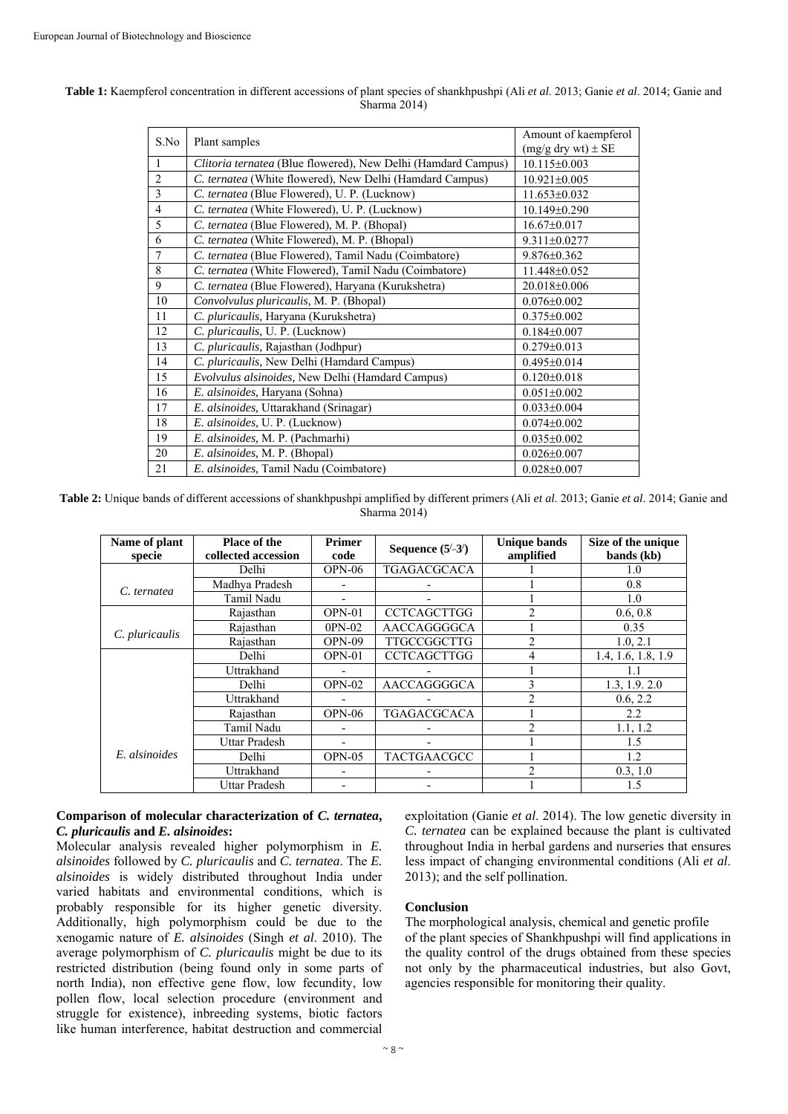| S.No           |                                                               | Amount of kaempferol      |
|----------------|---------------------------------------------------------------|---------------------------|
|                | Plant samples                                                 | $(mg/g$ dry wt $) \pm SE$ |
| $\mathbf{1}$   | Clitoria ternatea (Blue flowered), New Delhi (Hamdard Campus) | $10.115 \pm 0.003$        |
| $\overline{2}$ | C. ternatea (White flowered), New Delhi (Hamdard Campus)      | $10.921 \pm 0.005$        |
| 3              | C. ternatea (Blue Flowered), U. P. (Lucknow)                  | 11.653±0.032              |
| $\overline{4}$ | C. ternatea (White Flowered), U. P. (Lucknow)                 | $10.149\pm0.290$          |
| 5              | C. ternatea (Blue Flowered), M. P. (Bhopal)                   | $16.67 \pm 0.017$         |
| 6              | C. ternatea (White Flowered), M. P. (Bhopal)                  | $9.311 \pm 0.0277$        |
| $\tau$         | C. ternatea (Blue Flowered), Tamil Nadu (Coimbatore)          | $9.876 \pm 0.362$         |
| 8              | C. ternatea (White Flowered), Tamil Nadu (Coimbatore)         | 11.448±0.052              |
| 9              | C. ternatea (Blue Flowered), Haryana (Kurukshetra)            | 20.018±0.006              |
| 10             | Convolvulus pluricaulis, M. P. (Bhopal)                       | $0.076 \pm 0.002$         |
| 11             | C. pluricaulis, Haryana (Kurukshetra)                         | $0.375 \pm 0.002$         |
| 12             | C. pluricaulis, U. P. (Lucknow)                               | $0.184 \pm 0.007$         |
| 13             | C. pluricaulis, Rajasthan (Jodhpur)                           | $0.279 \pm 0.013$         |
| 14             | C. pluricaulis, New Delhi (Hamdard Campus)                    | $0.495 \pm 0.014$         |
| 15             | Evolvulus alsinoides, New Delhi (Hamdard Campus)              | $0.120 \pm 0.018$         |
| 16             | E. alsinoides, Haryana (Sohna)                                | $0.051 \pm 0.002$         |
| 17             | E. alsinoides, Uttarakhand (Srinagar)                         | $0.033 \pm 0.004$         |
| 18             | E. alsinoides, U. P. (Lucknow)                                | $0.074 \pm 0.002$         |
| 19             | E. alsinoides, M. P. (Pachmarhi)                              | $0.035 \pm 0.002$         |
| 20             | E. alsinoides, M. P. (Bhopal)                                 | $0.026 \pm 0.007$         |
| 21             | E. alsinoides, Tamil Nadu (Coimbatore)                        | $0.028 \pm 0.007$         |

#### **Table 1:** Kaempferol concentration in different accessions of plant species of shankhpushpi (Ali *et al*. 2013; Ganie *et al*. 2014; Ganie and Sharma 2014)

**Table 2:** Unique bands of different accessions of shankhpushpi amplified by different primers (Ali *et al*. 2013; Ganie *et al*. 2014; Ganie and Sharma 2014)

| Name of plant<br>specie | <b>Place of the</b><br>collected accession | <b>Primer</b><br>code | Sequence $(5^{\prime}-3^{\prime})$ | Unique bands<br>amplified | Size of the unique<br>bands (kb) |
|-------------------------|--------------------------------------------|-----------------------|------------------------------------|---------------------------|----------------------------------|
|                         | Delhi                                      | $OPN-06$              | <b>TGAGACGCACA</b>                 |                           | 1.0                              |
| C. ternatea             | Madhya Pradesh                             |                       |                                    |                           | 0.8                              |
|                         | Tamil Nadu                                 |                       |                                    |                           | 1.0                              |
|                         | Rajasthan                                  | OPN-01                | <b>CCTCAGCTTGG</b>                 | $\mathfrak{D}$            | 0.6, 0.8                         |
| C. pluricaulis          | Rajasthan                                  | 0PN-02                | AACCAGGGGCA                        |                           | 0.35                             |
|                         | Rajasthan                                  | OPN-09                | TTGCCGGCTTG                        | $\mathfrak{D}$            | 1.0, 2.1                         |
|                         | Delhi                                      | $OPN-01$              | <b>CCTCAGCTTGG</b>                 | 4                         | 1.4, 1.6, 1.8, 1.9               |
|                         | Uttrakhand                                 |                       |                                    |                           |                                  |
|                         | Delhi                                      | $OPN-02$              | AACCAGGGGCA                        |                           | 1.3, 1.9, 2.0                    |
|                         | Uttrakhand                                 |                       |                                    | $\mathfrak{D}$            | 0.6, 2.2                         |
|                         | Rajasthan                                  | $OPN-06$              | <b>TGAGACGCACA</b>                 |                           | 2.2                              |
|                         | Tamil Nadu                                 |                       |                                    | $\mathfrak{D}$            | 1.1, 1.2                         |
|                         | Uttar Pradesh                              |                       |                                    |                           | 1.5                              |
| E. alsinoides           | Delhi                                      | $OPN-05$              | <b>TACTGAACGCC</b>                 |                           | 1.2                              |
|                         | Uttrakhand                                 |                       |                                    | $\mathfrak{D}$            | 0.3, 1.0                         |
|                         | Uttar Pradesh                              |                       |                                    |                           | 1.5                              |

#### **Comparison of molecular characterization of** *C. ternatea***,**  *C. pluricaulis* **and** *E. alsinoides***:**

Molecular analysis revealed higher polymorphism in *E. alsinoides* followed by *C. pluricaulis* and *C. ternatea*. The *E. alsinoides* is widely distributed throughout India under varied habitats and environmental conditions, which is probably responsible for its higher genetic diversity. Additionally, high polymorphism could be due to the xenogamic nature of *E. alsinoides* (Singh *et al*. 2010). The average polymorphism of *C. pluricaulis* might be due to its restricted distribution (being found only in some parts of north India), non effective gene flow, low fecundity, low pollen flow, local selection procedure (environment and struggle for existence), inbreeding systems, biotic factors like human interference, habitat destruction and commercial

exploitation (Ganie *et al*. 2014). The low genetic diversity in *C. ternatea* can be explained because the plant is cultivated throughout India in herbal gardens and nurseries that ensures less impact of changing environmental conditions (Ali *et al*. 2013); and the self pollination.

# **Conclusion**

The morphological analysis, chemical and genetic profile of the plant species of Shankhpushpi will find applications in the quality control of the drugs obtained from these species not only by the pharmaceutical industries, but also Govt, agencies responsible for monitoring their quality.